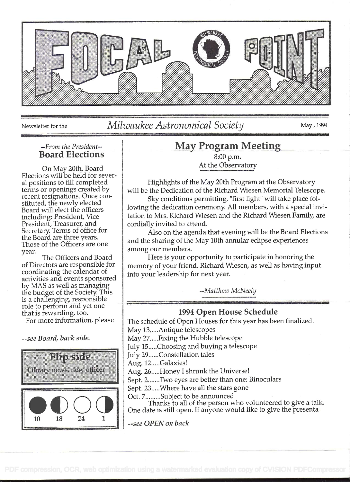

Newsletter for the Milwaukee Astronomical Society May, 1994

### --From the President--Board Elections

on May 20th, Board Elections will be held for several positions to fill completed terms or openings created by recent resignations. Once constituted, the newly elected Board will elect the officers including: President, Vice President, Treasurer, and Secretary. Terms of office for the Board are three years. Those of the Officers are one year.

The Officers and Board of Directors are responsible for coordinating the calendar of activities and events sponsored by MAS as well as managing the budget of the Society. This is a challenging, responsible role to perform and yet one that is rewarding, too.

For more information, please

--see Board, back side.



# May Program Meeting

8:00 p.m. At the Observatory

Highlights of the May 20th Program at the Observatory will be the Dedication of the Richard Wiesen Memorial Telescope.

Sky conditions permitting, "first light" will take place following the dedication ceremony. All members, with a special invitation to Mrs. Richard Wiesen and the Richard Wiesen Family, are cordially invited to attend.

Also on the agenda that evening will be the Board Elections and the sharing of the May 10th annular eclipse experiences among our members.

Here is your opportunity to participate in honoring the memory of your friend, Richard Wiesen, as well as having input into your leadership for next year.

--Matthew McNeely

## 1994 Open House Schedule

The schedule of Open Houses for this year has been finalized. May 13.....Antique telescopes

May 27 ..... Fixing the Hubble telescope

July 15 ..... Choosing and buying a telescope

July 29 ...... Constellation tales

Aug. 12.....Galaxies!

Aug. 26..... Honey I shrunk the Universe!

Sept. 2.......Two eyes are better than one: Binoculars

Sept. 23 ..... Where have all the stars gone

Oct. 7 ......... Subject to be announced

Thanks to all of the person who volunteered to give a talk. One date is still open. If anyone would like to give the presenta-

--see OPEN on back